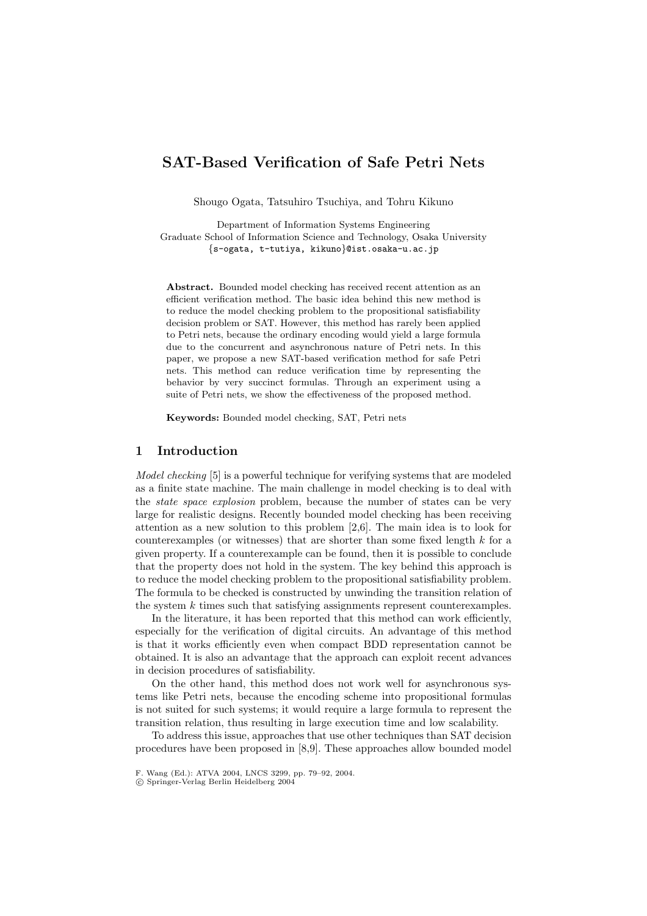# **SAT-Based Verification of Safe Petri Nets**

Shougo Ogata, Tatsuhiro Tsuchiya, and Tohru Kikuno

Department of Information Systems Engineering Graduate School of Information Science and Technology, Osaka University {s-ogata, t-tutiya, kikuno}@ist.osaka-u.ac.jp

**Abstract.** Bounded model checking has received recent attention as an efficient verification method. The basic idea behind this new method is to reduce the model checking problem to the propositional satisfiability decision problem or SAT. However, this method has rarely been applied to Petri nets, because the ordinary encoding would yield a large formula due to the concurrent and asynchronous nature of Petri nets. In this paper, we propose a new SAT-based verification method for safe Petri nets. This method can reduce verification time by representing the behavior by very succinct formulas. Through an experiment using a suite of Petri nets, we show the effectiveness of the proposed method.

**Keywords:** Bounded model checking, SAT, Petri nets

# **1 Introduction**

*Model checking* [5] is a powerful technique for verifying systems that are modeled as a finite state machine. The main challenge in model checking is to deal with the *state space explosion* problem, because the number of states can be very large for realistic designs. Recently bounded model checking has been receiving attention as a new solution to this problem [2,6]. The main idea is to look for counterexamples (or witnesses) that are shorter than some fixed length k for a given property. If a counterexample can be found, then it is possible to conclude that the property does not hold in the system. The key behind this approach is to reduce the model checking problem to the propositional satisfiability problem. The formula to be checked is constructed by unwinding the transition relation of the system  $k$  times such that satisfying assignments represent counterexamples.

In the literature, it has been reported that this method can work efficiently, especially for the verification of digital circuits. An advantage of this method is that it works efficiently even when compact BDD representation cannot be obtained. It is also an advantage that the approach can exploit recent advances in decision procedures of satisfiability.

On the other hand, this method does not work well for asynchronous systems like Petri nets, because the encoding scheme into propositional formulas is not suited for such systems; it would require a large formula to represent the transition relation, thus resulting in large execution time and low scalability.

To address this issue, approaches that use other techniques than SAT decision procedures have been proposed in [8,9]. These approaches allow bounded model

c Springer-Verlag Berlin Heidelberg 2004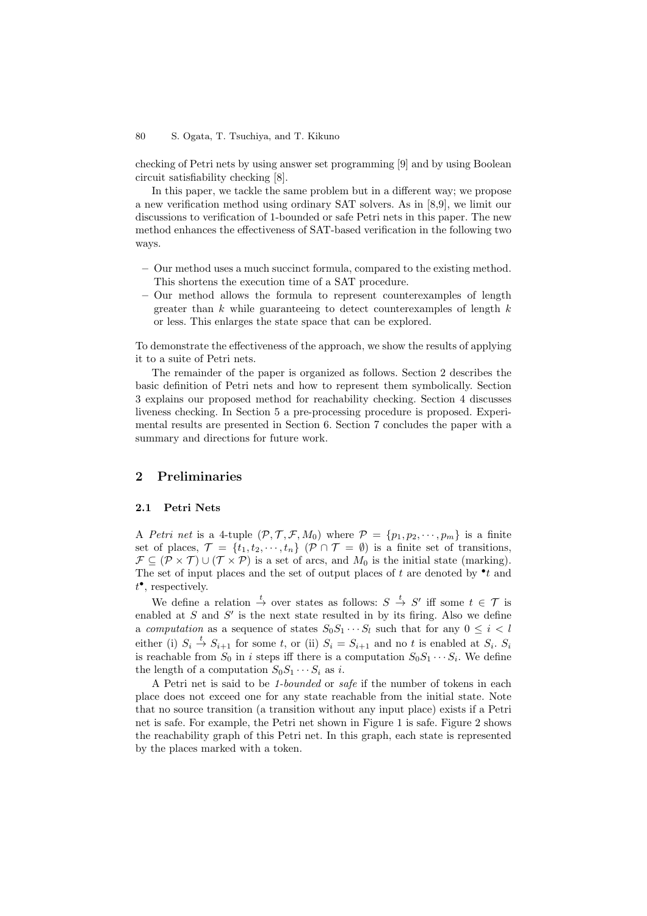checking of Petri nets by using answer set programming [9] and by using Boolean circuit satisfiability checking [8].

In this paper, we tackle the same problem but in a different way; we propose a new verification method using ordinary SAT solvers. As in [8,9], we limit our discussions to verification of 1-bounded or safe Petri nets in this paper. The new method enhances the effectiveness of SAT-based verification in the following two ways.

- **–** Our method uses a much succinct formula, compared to the existing method. This shortens the execution time of a SAT procedure.
- **–** Our method allows the formula to represent counterexamples of length greater than  $k$  while guaranteeing to detect counterexamples of length  $k$ or less. This enlarges the state space that can be explored.

To demonstrate the effectiveness of the approach, we show the results of applying it to a suite of Petri nets.

The remainder of the paper is organized as follows. Section 2 describes the basic definition of Petri nets and how to represent them symbolically. Section 3 explains our proposed method for reachability checking. Section 4 discusses liveness checking. In Section 5 a pre-processing procedure is proposed. Experimental results are presented in Section 6. Section 7 concludes the paper with a summary and directions for future work.

## **2 Preliminaries**

### **2.1 Petri Nets**

A *Petri net* is a 4-tuple  $(\mathcal{P}, \mathcal{T}, \mathcal{F}, M_0)$  where  $\mathcal{P} = \{p_1, p_2, \cdots, p_m\}$  is a finite set of places,  $\mathcal{T} = \{t_1, t_2, \dots, t_n\}$   $(\mathcal{P} \cap \mathcal{T} = \emptyset)$  is a finite set of transitions,  $\mathcal{F} \subseteq (\mathcal{P} \times \mathcal{T}) \cup (\mathcal{T} \times \mathcal{P})$  is a set of arcs, and  $M_0$  is the initial state (marking). The set of input places and the set of output places of t are denoted by  $\cdot t$  and  $t^{\bullet}$ , respectively.

We define a relation  $\stackrel{t}{\rightarrow}$  over states as follows:  $S \stackrel{t}{\rightarrow} S'$  iff some  $t \in \mathcal{T}$  is enabled at  $S$  and  $S'$  is the next state resulted in by its firing. Also we define a *computation* as a sequence of states  $S_0S_1 \cdots S_l$  such that for any  $0 \leq i < l$ either (i)  $S_i \stackrel{t}{\rightarrow} S_{i+1}$  for some t, or (ii)  $S_i = S_{i+1}$  and no t is enabled at  $S_i$ .  $S_i$ is reachable from  $S_0$  in i steps iff there is a computation  $S_0S_1 \cdots S_i$ . We define the length of a computation  $S_0S_1\cdots S_i$  as i.

A Petri net is said to be *1-bounded* or *safe* if the number of tokens in each place does not exceed one for any state reachable from the initial state. Note that no source transition (a transition without any input place) exists if a Petri net is safe. For example, the Petri net shown in Figure 1 is safe. Figure 2 shows the reachability graph of this Petri net. In this graph, each state is represented by the places marked with a token.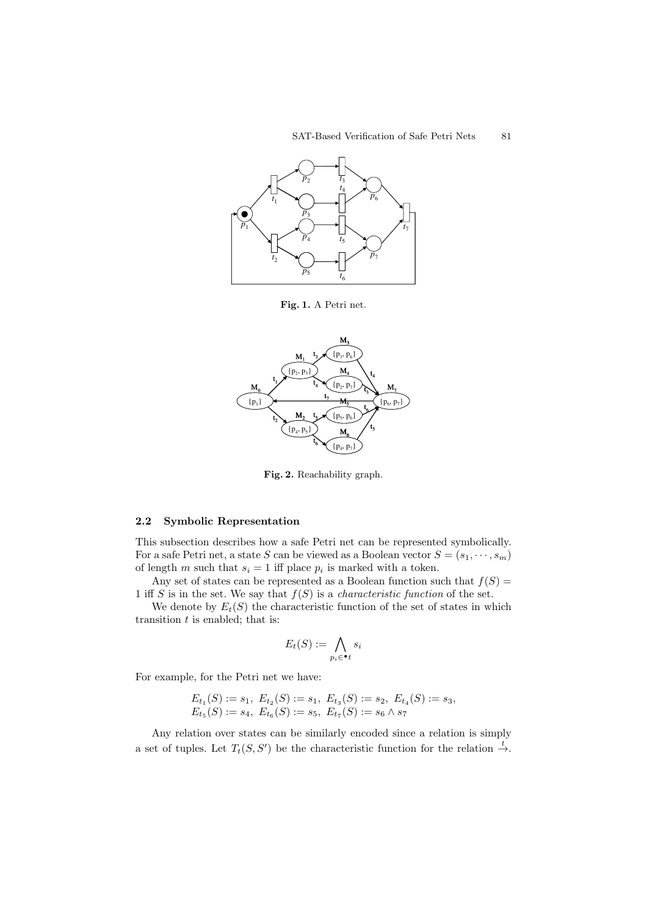

**Fig. 1.** A Petri net.



**Fig. 2.** Reachability graph.

#### **2.2 Symbolic Representation**

This subsection describes how a safe Petri net can be represented symbolically. For a safe Petri net, a state S can be viewed as a Boolean vector  $S = (s_1, \dots, s_m)$ of length m such that  $s_i = 1$  iff place  $p_i$  is marked with a token.

Any set of states can be represented as a Boolean function such that  $f(S)$  = 1 iff S is in the set. We say that  $f(S)$  is a *characteristic function* of the set.

We denote by  $E_t(S)$  the characteristic function of the set of states in which transition  $t$  is enabled; that is:

$$
E_t(S) := \bigwedge_{p_i \in \bullet_t} s_i
$$

For example, for the Petri net we have:

$$
E_{t_1}(S) := s_1, E_{t_2}(S) := s_1, E_{t_3}(S) := s_2, E_{t_4}(S) := s_3,
$$
  
\n
$$
E_{t_5}(S) := s_4, E_{t_6}(S) := s_5, E_{t_7}(S) := s_6 \wedge s_7
$$

Any relation over states can be similarly encoded since a relation is simply a set of tuples. Let  $T_t(S, S')$  be the characteristic function for the relation  $\stackrel{t}{\rightarrow}$ .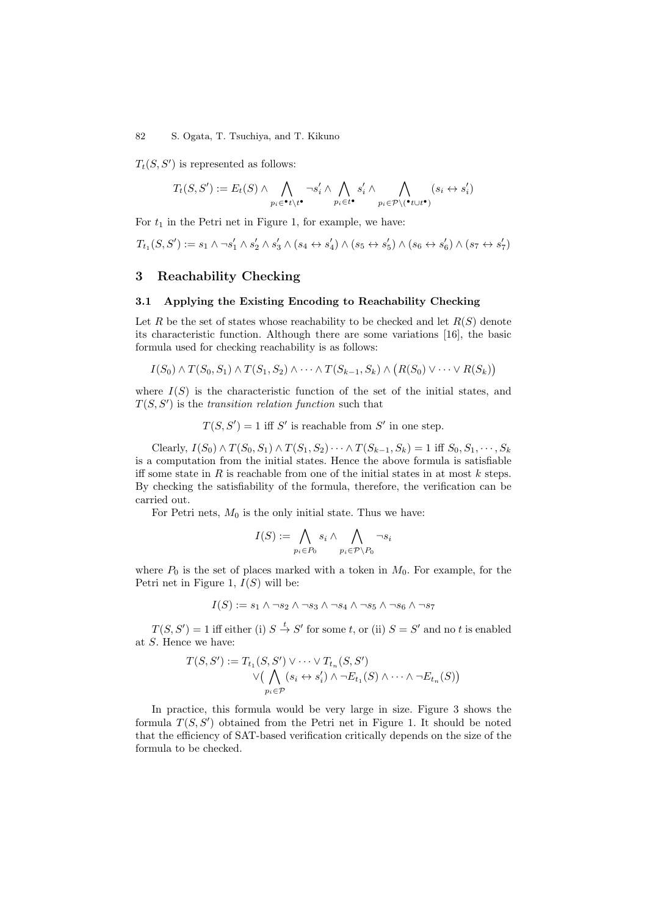$T_t(S, S')$  is represented as follows:

$$
T_t(S, S') := E_t(S) \wedge \bigwedge_{p_i \in \mathbf{t}^* \setminus \mathbf{t}^*} \neg s'_i \wedge \bigwedge_{p_i \in \mathbf{t}^*} s'_i \wedge \bigwedge_{p_i \in \mathcal{P} \setminus (\mathbf{t} \cup \mathbf{t}^*)} (s_i \leftrightarrow s'_i)
$$

For  $t_1$  in the Petri net in Figure 1, for example, we have:

$$
T_{t_1}(S,S'):=s_1\wedge \neg s_1'\wedge s_2'\wedge s_3'\wedge (s_4\leftrightarrow s_4')\wedge (s_5\leftrightarrow s_5')\wedge (s_6\leftrightarrow s_6')\wedge (s_7\leftrightarrow s_7')
$$

### **3 Reachability Checking**

#### **3.1 Applying the Existing Encoding to Reachability Checking**

Let R be the set of states whose reachability to be checked and let  $R(S)$  denote its characteristic function. Although there are some variations [16], the basic formula used for checking reachability is as follows:

$$
I(S_0) \wedge T(S_0, S_1) \wedge T(S_1, S_2) \wedge \cdots \wedge T(S_{k-1}, S_k) \wedge (R(S_0) \vee \cdots \vee R(S_k))
$$

where  $I(S)$  is the characteristic function of the set of the initial states, and  $T(S, S')$  is the *transition relation function* such that

 $T(S, S') = 1$  iff S' is reachable from S' in one step.

Clearly,  $I(S_0) \wedge T(S_0, S_1) \wedge T(S_1, S_2) \cdots \wedge T(S_{k-1}, S_k) = 1$  iff  $S_0, S_1, \cdots, S_k$ is a computation from the initial states. Hence the above formula is satisfiable iff some state in R is reachable from one of the initial states in at most  $k$  steps. By checking the satisfiability of the formula, therefore, the verification can be carried out.

For Petri nets,  $M_0$  is the only initial state. Thus we have:

$$
I(S) := \bigwedge_{p_i \in P_0} s_i \wedge \bigwedge_{p_i \in \mathcal{P} \setminus P_0} \neg s_i
$$

where  $P_0$  is the set of places marked with a token in  $M_0$ . For example, for the Petri net in Figure 1,  $I(S)$  will be:

 $I(S) := s_1 \wedge \neg s_2 \wedge \neg s_3 \wedge \neg s_4 \wedge \neg s_5 \wedge \neg s_6 \wedge \neg s_7$ 

 $T(S, S') = 1$  iff either (i)  $S \stackrel{t}{\rightarrow} S'$  for some t, or (ii)  $S = S'$  and no t is enabled at S. Hence we have:

$$
T(S, S') := T_{t_1}(S, S') \vee \cdots \vee T_{t_n}(S, S')
$$
  

$$
\vee \Big( \bigwedge_{p_i \in \mathcal{P}} (s_i \leftrightarrow s'_i) \wedge \neg E_{t_1}(S) \wedge \cdots \wedge \neg E_{t_n}(S) \Big)
$$

In practice, this formula would be very large in size. Figure 3 shows the formula  $T(S, S')$  obtained from the Petri net in Figure 1. It should be noted that the efficiency of SAT-based verification critically depends on the size of the formula to be checked.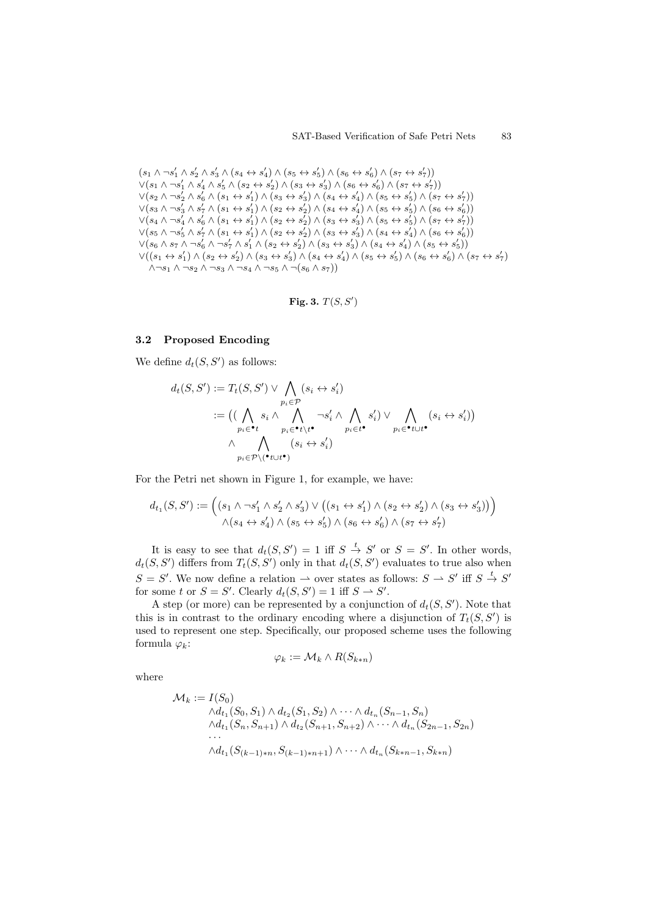$$
\begin{array}{l} \left(s_{1}\wedge\neg s_{1}^{\prime}\wedge s_{2}^{\prime}\wedge s_{3}^{\prime}\wedge(s_{4}\leftrightarrow s_{4}^{\prime})\wedge(s_{5}\leftrightarrow s_{5}^{\prime})\wedge(s_{6}\leftrightarrow s_{6}^{\prime})\wedge(s_{7}\leftrightarrow s_{7}^{\prime})\right)\\ \vee\left(s_{1}\wedge\neg s_{1}^{\prime}\wedge s_{4}^{\prime}\wedge s_{5}^{\prime}\wedge(s_{2}\leftrightarrow s_{2}^{\prime})\wedge(s_{3}\leftrightarrow s_{3}^{\prime})\wedge(s_{6}\leftrightarrow s_{6}^{\prime})\wedge(s_{7}\leftrightarrow s_{7}^{\prime})\right)\\ \vee\left(s_{2}\wedge\neg s_{2}^{\prime}\wedge s_{6}^{\prime}\wedge(s_{1}\leftrightarrow s_{1}^{\prime})\wedge(s_{3}\leftrightarrow s_{3}^{\prime})\wedge(s_{4}\leftrightarrow s_{4}^{\prime})\wedge(s_{5}\leftrightarrow s_{5}^{\prime})\wedge(s_{7}\leftrightarrow s_{7}^{\prime})\right)\\ \vee\left(s_{3}\wedge\neg s_{3}^{\prime}\wedge s_{7}^{\prime}\wedge(s_{1}\leftrightarrow s_{1}^{\prime})\wedge(s_{2}\leftrightarrow s_{2}^{\prime})\wedge(s_{4}\leftrightarrow s_{4}^{\prime})\wedge(s_{5}\leftrightarrow s_{5}^{\prime})\wedge(s_{6}\leftrightarrow s_{6}^{\prime})\right)\\ \vee\left(s_{4}\wedge\neg s_{4}^{\prime}\wedge s_{6}^{\prime}\wedge(s_{1}\leftrightarrow s_{1}^{\prime})\wedge(s_{2}\leftrightarrow s_{2}^{\prime})\wedge(s_{3}\leftrightarrow s_{3}^{\prime})\wedge(s_{5}\leftrightarrow s_{5}^{\prime})\wedge(s_{7}\leftrightarrow s_{7}^{\prime})\right)\\ \vee\left(s_{5}\wedge\neg s_{5}^{\prime}\wedge s_{7}^{\prime}\wedge(s_{1}\leftrightarrow s_{1}^{\prime})\wedge(s_{2}\leftrightarrow s_{2}^{\prime})\wedge(s_{3}\leftrightarrow s_{3}^{\prime})\wedge(s_{4}\leftrightarrow s_{4}^{\prime})\wedge(s_{5}\leftrightarrow s_{6}^{\prime})\right)\\ \vee\left(s_{6}\wedge s_{7}\wedge\neg s_{6}^{\prime}\wedge\neg s_{7}^{\prime}\wedge s_{1}^{\prime}\wedge(s_{2}\leftrightarrow s_{2}^{\prime})\wedge(s_{3}\leftrightarrow s_{3}^{\prime})\wedge(s
$$

Fig. 3.  $T(S, S')$ 

#### **3.2 Proposed Encoding**

We define  $d_t(S, S')$  as follows:

$$
d_t(S, S') := T_t(S, S') \vee \bigwedge_{p_i \in \mathcal{P}} (s_i \leftrightarrow s'_i)
$$
  
 := ((\bigwedge\_{p\_i \in \mathbf{t}} s\_i \wedge \bigwedge\_{p\_i \in \mathbf{t} \setminus \mathbf{t}^{\bullet}} \neg s'\_i \wedge \bigwedge\_{p\_i \in \mathbf{t}^{\bullet}} s'\_i) \vee \bigwedge\_{p\_i \in \mathbf{t} \setminus \mathbf{t}^{\bullet}} (s\_i \leftrightarrow s'\_i))  
 
$$
\wedge \bigwedge_{p_i \in \mathcal{P} \setminus (\mathbf{t} \cup \mathbf{t}^{\bullet})} (s_i \leftrightarrow s'_i)
$$

For the Petri net shown in Figure 1, for example, we have:

$$
d_{t_1}(S, S') := \left( (s_1 \wedge \neg s_1' \wedge s_2' \wedge s_3') \vee ((s_1 \leftrightarrow s_1') \wedge (s_2 \leftrightarrow s_2') \wedge (s_3 \leftrightarrow s_3')) \right)
$$
  

$$
\wedge (s_4 \leftrightarrow s_4') \wedge (s_5 \leftrightarrow s_5') \wedge (s_6 \leftrightarrow s_6') \wedge (s_7 \leftrightarrow s_7')
$$

It is easy to see that  $d_t(S, S') = 1$  iff  $S \stackrel{t}{\rightarrow} S'$  or  $S = S'$ . In other words,  $d_t(S, S')$  differs from  $T_t(S, S')$  only in that  $d_t(S, S')$  evaluates to true also when  $S = S'$ . We now define a relation  $\rightarrow$  over states as follows:  $S \rightarrow S'$  iff  $S \stackrel{t}{\rightarrow} S'$ for some t or  $S = S'$ . Clearly  $d_t(S, S') = 1$  iff  $S \to S'$ .

A step (or more) can be represented by a conjunction of  $d_t(S, S')$ . Note that this is in contrast to the ordinary encoding where a disjunction of  $T_t(S, S')$  is used to represent one step. Specifically, our proposed scheme uses the following formula  $\varphi_k$ :

$$
\varphi_k:=\mathcal{M}_k\wedge R(S_{k*n})
$$

where

$$
\mathcal{M}_k := I(S_0)
$$
  
\n
$$
\begin{aligned}\n\wedge d_{t_1}(S_0, S_1) \wedge d_{t_2}(S_1, S_2) \wedge \cdots \wedge d_{t_n}(S_{n-1}, S_n) \\
\wedge d_{t_1}(S_n, S_{n+1}) \wedge d_{t_2}(S_{n+1}, S_{n+2}) \wedge \cdots \wedge d_{t_n}(S_{2n-1}, S_{2n}) \\
\cdots \\
\wedge d_{t_1}(S_{(k-1)*n}, S_{(k-1)*n+1}) \wedge \cdots \wedge d_{t_n}(S_{k*n-1}, S_{k*n})\n\end{aligned}
$$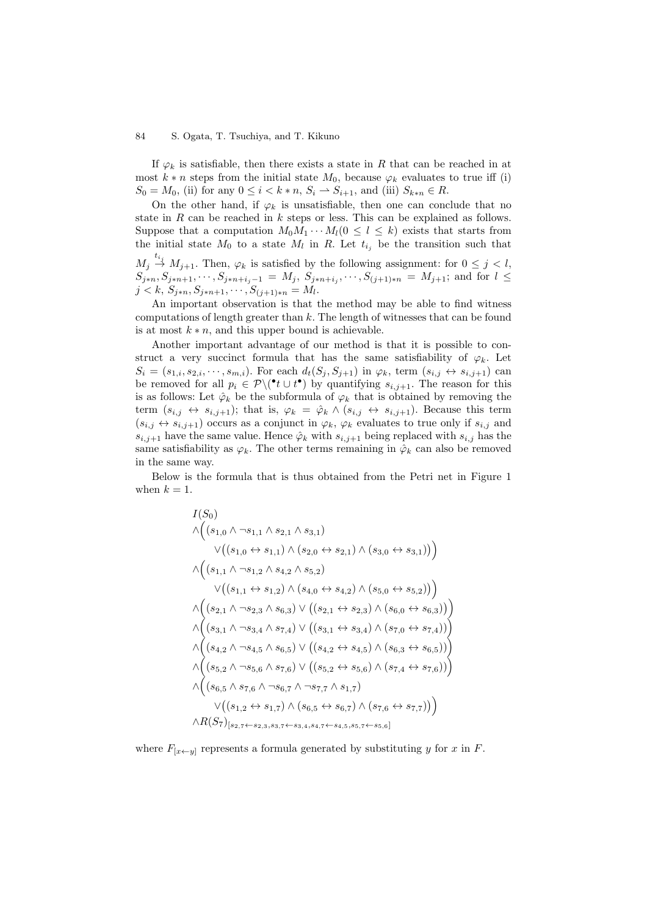If  $\varphi_k$  is satisfiable, then there exists a state in R that can be reached in at most  $k * n$  steps from the initial state  $M_0$ , because  $\varphi_k$  evaluates to true iff (i)  $S_0 = M_0$ , (ii) for any  $0 \le i < k * n$ ,  $S_i \to S_{i+1}$ , and (iii)  $S_{k*n} \in R$ .

On the other hand, if  $\varphi_k$  is unsatisfiable, then one can conclude that no state in R can be reached in k steps or less. This can be explained as follows. Suppose that a computation  $M_0M_1\cdots M_l(0 \leq l \leq k)$  exists that starts from the initial state  $M_0$  to a state  $M_l$  in R. Let  $t_{i_j}$  be the transition such that  $M_j \stackrel{t_{i_j}}{\rightarrow} M_{j+1}$ . Then,  $\varphi_k$  is satisfied by the following assignment: for  $0 \leq j \leq l$ ,  $S_{j*n}, S_{j*n+1}, \dots, S_{j*n+i_j-1} = M_j, S_{j*n+i_j}, \dots, S_{(j+1)*n} = M_{j+1};$  and for  $l \leq$  $j < k, S_{j*n}, S_{j*n+1}, \cdots, S_{(j+1)*n} = M_l.$ 

An important observation is that the method may be able to find witness computations of length greater than  $k$ . The length of witnesses that can be found is at most  $k * n$ , and this upper bound is achievable.

Another important advantage of our method is that it is possible to construct a very succinct formula that has the same satisfiability of  $\varphi_k$ . Let  $S_i = (s_{1,i}, s_{2,i}, \dots, s_{m,i})$ . For each  $d_t(S_i, S_{j+1})$  in  $\varphi_k$ , term  $(s_{i,j} \leftrightarrow s_{i,j+1})$  can be removed for all  $p_i \in \mathcal{P} \setminus (\bullet t \cup t^{\bullet})$  by quantifying  $s_{i,j+1}$ . The reason for this is as follows: Let  $\hat{\varphi}_k$  be the subformula of  $\varphi_k$  that is obtained by removing the term  $(s_{i,j} \leftrightarrow s_{i,j+1})$ ; that is,  $\varphi_k = \hat{\varphi}_k \wedge (s_{i,j} \leftrightarrow s_{i,j+1})$ . Because this term  $(s_{i,j} \leftrightarrow s_{i,j+1})$  occurs as a conjunct in  $\varphi_k$ ,  $\varphi_k$  evaluates to true only if  $s_{i,j}$  and  $s_{i,j+1}$  have the same value. Hence  $\hat{\varphi}_k$  with  $s_{i,j+1}$  being replaced with  $s_{i,j}$  has the same satisfiability as  $\varphi_k$ . The other terms remaining in  $\hat{\varphi}_k$  can also be removed in the same way.

Below is the formula that is thus obtained from the Petri net in Figure 1 when  $k = 1$ .

$$
I(S_0)
$$
\n
$$
\wedge ((s_{1,0} \wedge \neg s_{1,1} \wedge s_{2,1} \wedge s_{3,1})
$$
\n
$$
\vee ((s_{1,0} \leftrightarrow s_{1,1}) \wedge (s_{2,0} \leftrightarrow s_{2,1}) \wedge (s_{3,0} \leftrightarrow s_{3,1}))
$$
\n
$$
\wedge ((s_{1,1} \wedge \neg s_{1,2} \wedge s_{4,2} \wedge s_{5,2})
$$
\n
$$
\vee ((s_{1,1} \leftrightarrow s_{1,2}) \wedge (s_{4,0} \leftrightarrow s_{4,2}) \wedge (s_{5,0} \leftrightarrow s_{5,2}))
$$
\n
$$
\wedge ((s_{2,1} \wedge \neg s_{2,3} \wedge s_{6,3}) \vee ((s_{2,1} \leftrightarrow s_{2,3}) \wedge (s_{6,0} \leftrightarrow s_{6,3}))
$$
\n
$$
\wedge ((s_{3,1} \wedge \neg s_{3,4} \wedge s_{7,4}) \vee ((s_{3,1} \leftrightarrow s_{3,4}) \wedge (s_{7,0} \leftrightarrow s_{7,4}))
$$
\n
$$
\wedge ((s_{4,2} \wedge \neg s_{4,5} \wedge s_{6,5}) \vee ((s_{4,2} \leftrightarrow s_{4,5}) \wedge (s_{6,3} \leftrightarrow s_{6,5}))
$$
\n
$$
\wedge ((s_{5,2} \wedge \neg s_{5,6} \wedge s_{7,6}) \vee ((s_{5,2} \leftrightarrow s_{5,6}) \wedge (s_{7,4} \leftrightarrow s_{7,6}))
$$
\n
$$
\wedge ((s_{6,5} \wedge s_{7,6} \wedge \neg s_{6,7} \wedge \neg s_{7,7} \wedge s_{1,7})
$$
\n
$$
\vee ((s_{1,2} \leftrightarrow s_{1,7}) \wedge (s_{6,5} \leftrightarrow s_{6,7}) \wedge (s_{7,6} \leftrightarrow s_{7,7}))
$$
\n
$$
\wedge R(S_7)_{[s_2,7 \leftarrow s_{2,3}, s_{3,7} \leftarrow s_{3,4}, s_{4,7} \leftarrow s_{4,5}, s_{5,7} \leftarrow s_{5,6}]
$$

where  $F_{[x \leftarrow y]}$  represents a formula generated by substituting y for x in F.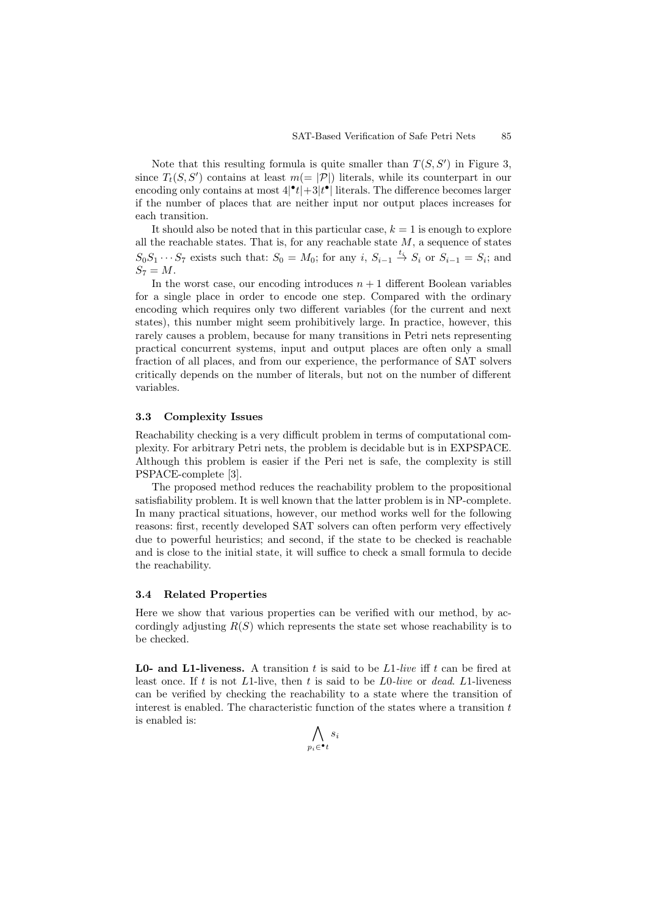Note that this resulting formula is quite smaller than  $T(S, S')$  in Figure 3, since  $T_t(S, S')$  contains at least  $m (= |\mathcal{P}|)$  literals, while its counterpart in our encoding only contains at most  $4|\cdot t| + 3|t|\cdot|$  literals. The difference becomes larger if the number of places that are neither input nor output places increases for each transition.

It should also be noted that in this particular case,  $k = 1$  is enough to explore all the reachable states. That is, for any reachable state  $M$ , a sequence of states  $S_0S_1 \cdots S_7$  exists such that:  $S_0 = M_0$ ; for any  $i, S_{i-1} \stackrel{t_i}{\rightarrow} S_i$  or  $S_{i-1} = S_i$ ; and  $S_7 = M$ .

In the worst case, our encoding introduces  $n + 1$  different Boolean variables for a single place in order to encode one step. Compared with the ordinary encoding which requires only two different variables (for the current and next states), this number might seem prohibitively large. In practice, however, this rarely causes a problem, because for many transitions in Petri nets representing practical concurrent systems, input and output places are often only a small fraction of all places, and from our experience, the performance of SAT solvers critically depends on the number of literals, but not on the number of different variables.

#### **3.3 Complexity Issues**

Reachability checking is a very difficult problem in terms of computational complexity. For arbitrary Petri nets, the problem is decidable but is in EXPSPACE. Although this problem is easier if the Peri net is safe, the complexity is still PSPACE-complete [3].

The proposed method reduces the reachability problem to the propositional satisfiability problem. It is well known that the latter problem is in NP-complete. In many practical situations, however, our method works well for the following reasons: first, recently developed SAT solvers can often perform very effectively due to powerful heuristics; and second, if the state to be checked is reachable and is close to the initial state, it will suffice to check a small formula to decide the reachability.

#### **3.4 Related Properties**

Here we show that various properties can be verified with our method, by accordingly adjusting  $R(S)$  which represents the state set whose reachability is to be checked.

**L0- and L1-liveness.** A transition t is said to be L1-live iff t can be fired at least once. If t is not L1-live, then t is said to be L0*-live* or *dead*. L1-liveness can be verified by checking the reachability to a state where the transition of interest is enabled. The characteristic function of the states where a transition  $t$ is enabled is:

$$
\bigwedge_{p_i\in\bullet_t} s_i
$$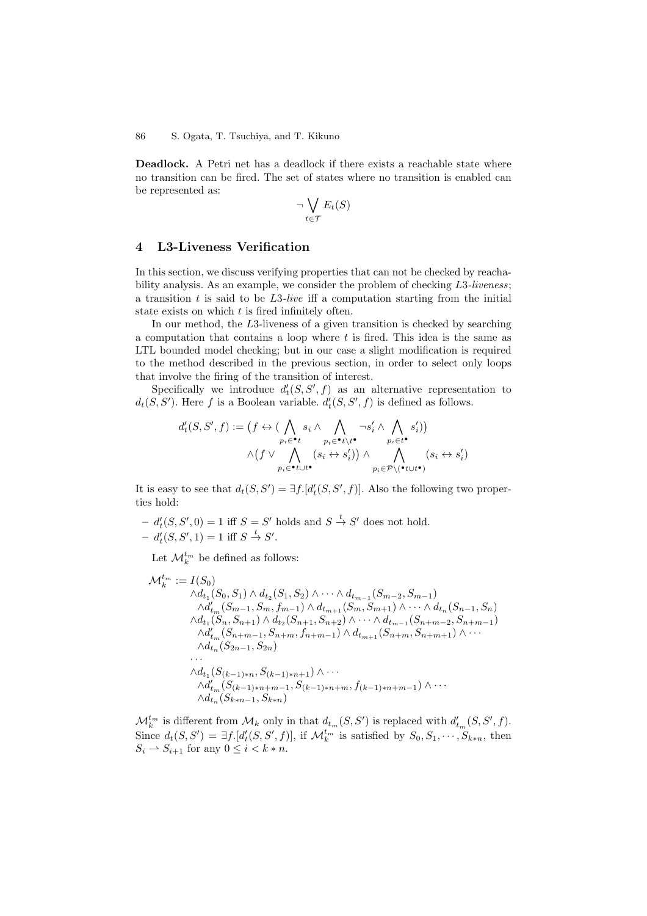**Deadlock.** A Petri net has a deadlock if there exists a reachable state where no transition can be fired. The set of states where no transition is enabled can be represented as:

$$
\neg \bigvee_{t \in \mathcal{T}} E_t(S)
$$

### **4 L3-Liveness Verification**

In this section, we discuss verifying properties that can not be checked by reachability analysis. As an example, we consider the problem of checking L3*-liveness*; a transition t is said to be L3*-live* iff a computation starting from the initial state exists on which t is fired infinitely often.

In our method, the L3-liveness of a given transition is checked by searching a computation that contains a loop where  $t$  is fired. This idea is the same as LTL bounded model checking; but in our case a slight modification is required to the method described in the previous section, in order to select only loops that involve the firing of the transition of interest.

Specifically we introduce  $d'_{t}(S, S', f)$  as an alternative representation to  $d_t(S, S')$ . Here f is a Boolean variable.  $d'_t(S, S', f)$  is defined as follows.

$$
d'_{t}(S, S', f) := \left(f \leftrightarrow (\bigwedge_{p_{i} \in \bullet t} s_{i} \land \bigwedge_{p_{i} \in \bullet t \setminus t^{\bullet}} \neg s'_{i} \land \bigwedge_{p_{i} \in t^{\bullet}} s'_{i})\right) \land \left(f \lor \bigwedge_{p_{i} \in \bullet t \cup t^{\bullet}} (s_{i} \leftrightarrow s'_{i})\right) \land \bigwedge_{p_{i} \in \mathcal{P} \setminus (\bullet t \cup t^{\bullet})} (s_{i} \leftrightarrow s'_{i})\right)
$$

It is easy to see that  $d_t(S, S') = \exists f. [d'_t(S, S', f)]$ . Also the following two properties hold:

 $-d'_{t}(S, S', 0) = 1$  iff  $S = S'$  holds and  $S \stackrel{t}{\rightarrow} S'$  does not hold.  $- d'_t(S, S', 1) = 1$  iff  $S \stackrel{t}{\to} S'.$ 

Let  $\mathcal{M}_k^{t_m}$  be defined as follows:

$$
\mathcal{M}_{k}^{t_{m}} := I(S_{0})
$$
\n
$$
\begin{aligned}\n\mathcal{M}_{k}^{t_{m}} &:= I(S_{0}) \\
\wedge d_{t_{1}}(S_{0}, S_{1}) \wedge d_{t_{2}}(S_{1}, S_{2}) \wedge \cdots \wedge d_{t_{m-1}}(S_{m-2}, S_{m-1}) \\
\wedge d'_{t_{m}}(S_{m-1}, S_{m}, f_{m-1}) \wedge d_{t_{m+1}}(S_{m}, S_{m+1}) \wedge \cdots \wedge d_{t_{n}}(S_{n-1}, S_{n}) \\
\wedge d_{t_{1}}(S_{n}, S_{n+1}) \wedge d_{t_{2}}(S_{n+1}, S_{n+2}) \wedge \cdots \wedge d_{t_{m-1}}(S_{n+m-2}, S_{n+m-1}) \\
\wedge d'_{t_{m}}(S_{n+m-1}, S_{n+m}, f_{n+m-1}) \wedge d_{t_{m+1}}(S_{n+m}, S_{n+m+1}) \wedge \cdots \\
\wedge d_{t_{1}}(S_{k-1}, S_{2n}) \\
\cdots \\
\wedge d'_{t_{m}}(S_{(k-1)*n}, S_{(k-1)*n+1}) \wedge \cdots \\
\wedge d'_{t_{m}}(S_{(k-1)*n+m-1}, S_{(k-1)*n+m}, f_{(k-1)*n+m-1}) \wedge \cdots \\
\wedge d_{t_{n}}(S_{k*n-1}, S_{k*n})\n\end{aligned}
$$

 $\mathcal{M}_k^{t_m}$  is different from  $\mathcal{M}_k$  only in that  $d_{t_m}(S, S')$  is replaced with  $d'_{t_m}(S, S', f)$ . Since  $d_t(S, S') = \exists f. [d'_t(S, S', f)],$  if  $\mathcal{M}_k^{t_m}$  is satisfied by  $S_0, S_1, \cdots, S_{k*n}$ , then  $S_i \rightharpoonup S_{i+1}$  for any  $0 \leq i < k * n$ .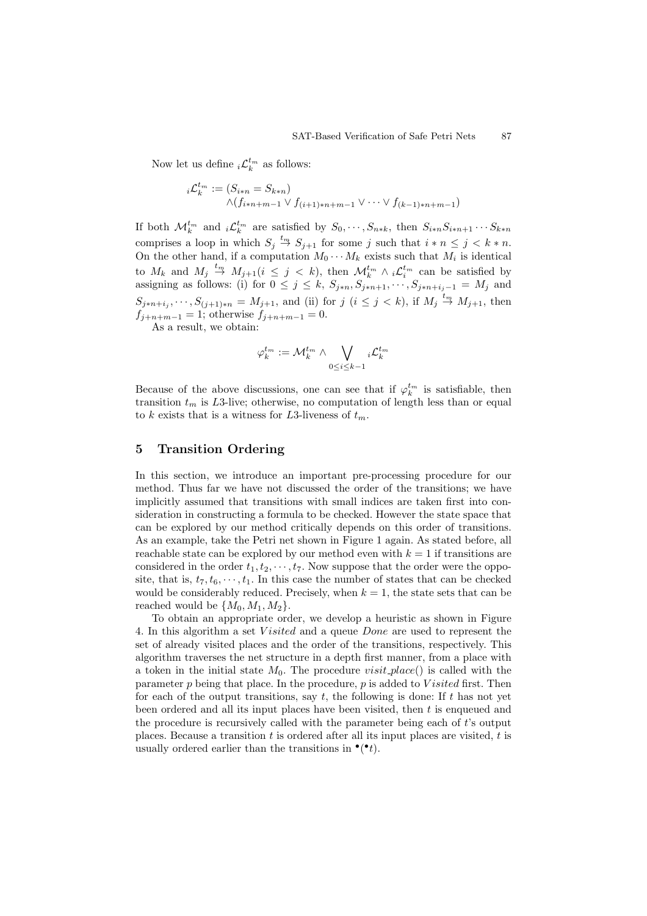Now let us define  ${}_{i}\mathcal{L}_{k}^{t_{m}}$  as follows:

$$
{}_{i}\mathcal{L}_{k}^{t_{m}} := (S_{i*n} = S_{k*n})
$$
  
 
$$
\wedge (f_{i*n+m-1} \vee f_{(i+1)*n+m-1} \vee \cdots \vee f_{(k-1)*n+m-1})
$$

If both  $\mathcal{M}_k^{t_m}$  and  $_i\mathcal{L}_k^{t_m}$  are satisfied by  $S_0, \dots, S_{n*k}$ , then  $S_{i*n}S_{i*n+1}\cdots S_{k*n}$ comprises a loop in which  $S_j \stackrel{t_m}{\to} S_{j+1}$  for some j such that  $i * n \leq j < k * n$ . On the other hand, if a computation  $M_0 \cdots M_k$  exists such that  $M_i$  is identical to  $M_k$  and  $M_j \stackrel{t_m}{\rightarrow} M_{j+1} (i \leq j \leq k)$ , then  $\mathcal{M}_k^{t_m} \wedge i \mathcal{L}_i^{t_m}$  can be satisfied by assigning as follows: (i) for  $0 \leq j \leq k$ ,  $S_{j*n}, S_{j*n+1}, \dots, S_{j*n+i_j-1} = M_j$  and  $S_{j*n+i_j}, \dots, S_{(j+1)*n} = M_{j+1}$ , and (ii) for  $j$   $(i \leq j < k)$ , if  $M_j \stackrel{t_m}{\rightarrow} M_{j+1}$ , then  $f_{j+n+m-1} = 1$ ; otherwise  $f_{j+n+m-1} = 0$ .

As a result, we obtain:

$$
\varphi_k^{t_m}:=\mathcal{M}_k^{t_m}\wedge \bigvee_{0\leq i\leq k-1}{}_i\mathcal{L}_k^{t_m}
$$

Because of the above discussions, one can see that if  $\varphi_k^{t_m}$  is satisfiable, then transition  $t_m$  is L3-live; otherwise, no computation of length less than or equal to k exists that is a witness for L3-liveness of  $t_m$ .

### **5 Transition Ordering**

In this section, we introduce an important pre-processing procedure for our method. Thus far we have not discussed the order of the transitions; we have implicitly assumed that transitions with small indices are taken first into consideration in constructing a formula to be checked. However the state space that can be explored by our method critically depends on this order of transitions. As an example, take the Petri net shown in Figure 1 again. As stated before, all reachable state can be explored by our method even with  $k = 1$  if transitions are considered in the order  $t_1, t_2, \dots, t_7$ . Now suppose that the order were the opposite, that is,  $t_7, t_6, \dots, t_1$ . In this case the number of states that can be checked would be considerably reduced. Precisely, when  $k = 1$ , the state sets that can be reached would be  $\{M_0, M_1, M_2\}.$ 

To obtain an appropriate order, we develop a heuristic as shown in Figure 4. In this algorithm a set V isited and a queue Done are used to represent the set of already visited places and the order of the transitions, respectively. This algorithm traverses the net structure in a depth first manner, from a place with a token in the initial state  $M_0$ . The procedure visit-place() is called with the parameter  $p$  being that place. In the procedure,  $p$  is added to V isited first. Then for each of the output transitions, say  $t$ , the following is done: If  $t$  has not yet been ordered and all its input places have been visited, then t is enqueued and the procedure is recursively called with the parameter being each of  $t$ 's output places. Because a transition t is ordered after all its input places are visited,  $t$  is usually ordered earlier than the transitions in  $\bullet(\bullet t)$ .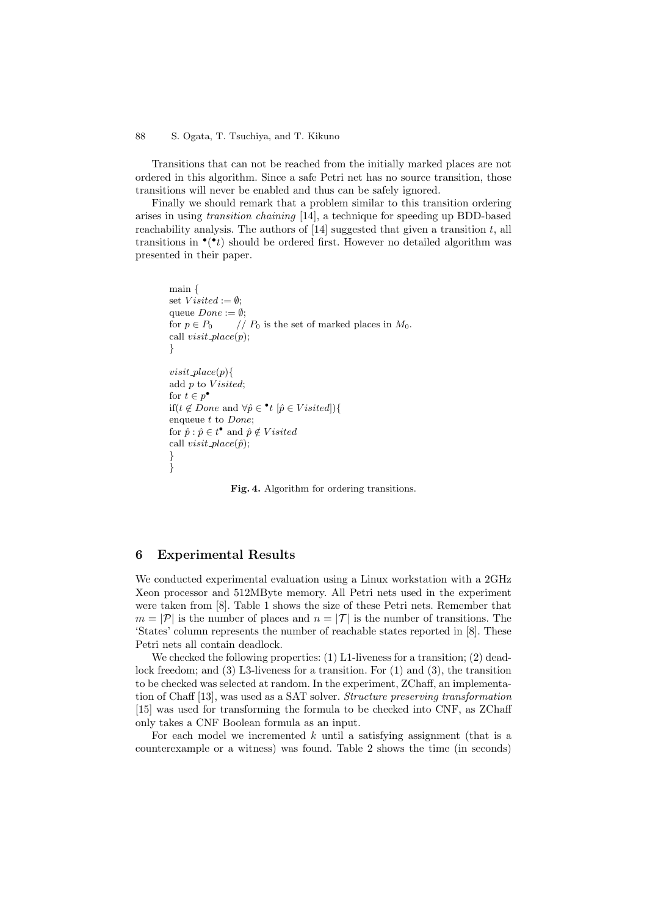Transitions that can not be reached from the initially marked places are not ordered in this algorithm. Since a safe Petri net has no source transition, those transitions will never be enabled and thus can be safely ignored.

Finally we should remark that a problem similar to this transition ordering arises in using *transition chaining* [14], a technique for speeding up BDD-based reachability analysis. The authors of  $|14|$  suggested that given a transition t, all transitions in  $\bullet(\bullet t)$  should be ordered first. However no detailed algorithm was presented in their paper.

```
main {
set V<sub>isited</sub> := \emptyset;
queue Done := \emptyset;
for p \in P_0 // P_0 is the set of marked places in M_0.
call visit\_place(p);}
visit\_place(p){
add p to V\isited;
for t \in p^{\bullet}if(t ∉ Done and \forall \hat{p} \in \text{•}t [\hat{p} \in V \text{ is itself}){
enqueue t to Done;
for \hat{p} : \hat{p} \in t^{\bullet} and \hat{p} \notin Visitedcall visit_place(\hat{p});
}
}
```
**Fig. 4.** Algorithm for ordering transitions.

## **6 Experimental Results**

We conducted experimental evaluation using a Linux workstation with a 2GHz Xeon processor and 512MByte memory. All Petri nets used in the experiment were taken from [8]. Table 1 shows the size of these Petri nets. Remember that  $m = |\mathcal{P}|$  is the number of places and  $n = |\mathcal{T}|$  is the number of transitions. The 'States' column represents the number of reachable states reported in [8]. These Petri nets all contain deadlock.

We checked the following properties:  $(1)$  L1-liveness for a transition;  $(2)$  deadlock freedom; and (3) L3-liveness for a transition. For (1) and (3), the transition to be checked was selected at random. In the experiment, ZChaff, an implementation of Chaff [13], was used as a SAT solver. *Structure preserving transformation* [15] was used for transforming the formula to be checked into CNF, as ZChaff only takes a CNF Boolean formula as an input.

For each model we incremented  $k$  until a satisfying assignment (that is a counterexample or a witness) was found. Table 2 shows the time (in seconds)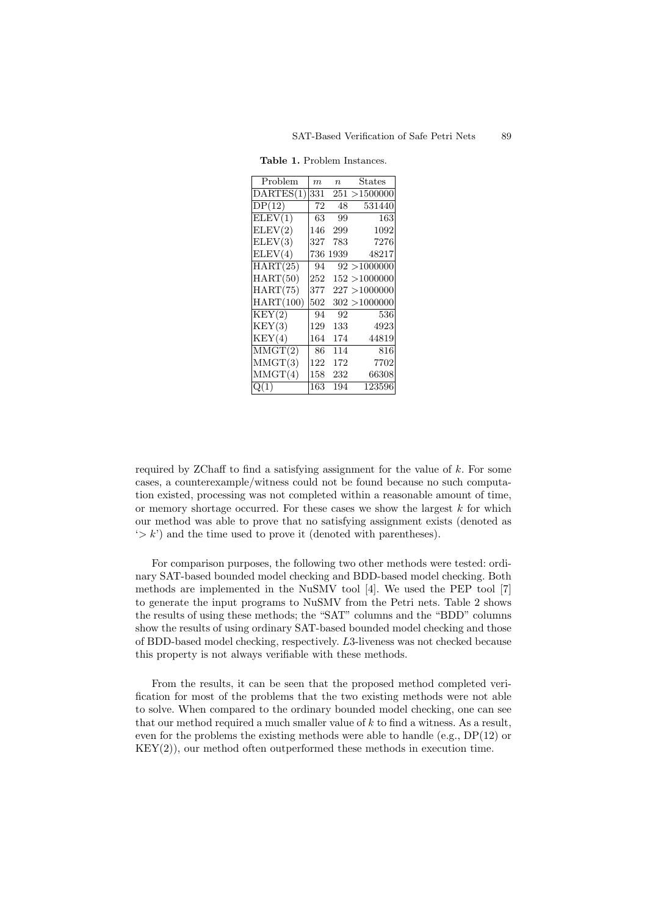| Problem    | m   | $\boldsymbol{n}$ | $\text{States}$ |
|------------|-----|------------------|-----------------|
| DARTES(1)  | 331 |                  | 251 > 1500000   |
| DP(12)     | 72  | 48               | 531440          |
| ELEV(1)    | 63  | 99               | 163             |
| ELEV(2)    | 146 | 299              | 1092            |
| ELEV(3)    | 327 | 783              | 7276            |
| ELEV(4)    | 736 | 1939             | 48217           |
| HART (25)  | 94  |                  | 92 > 1000000    |
| HART (50)  | 252 |                  | 152 > 1000000   |
| HART (75)  | 377 |                  | 227 >1000000    |
| HART (100) | 502 |                  | 302 > 1000000   |
| KEY(2)     | 94  | 92               | 536             |
| KEY(3)     | 129 | 133              | 4923            |
| KEY(4)     | 164 | 174              | 44819           |
| MMGT(2)    | 86  | 114              | 816             |
| M MGT(3)   | 122 | 172              | 7702            |
| MMGT(4)    | 158 | 232              | 66308           |
| Q(1)       | 163 | 194              | 123596          |

**Table 1.** Problem Instances.

required by ZChaff to find a satisfying assignment for the value of  $k$ . For some cases, a counterexample/witness could not be found because no such computation existed, processing was not completed within a reasonable amount of time, or memory shortage occurred. For these cases we show the largest  $k$  for which our method was able to prove that no satisfying assignment exists (denoted as  $\langle \rangle k'$  and the time used to prove it (denoted with parentheses).

For comparison purposes, the following two other methods were tested: ordinary SAT-based bounded model checking and BDD-based model checking. Both methods are implemented in the NuSMV tool [4]. We used the PEP tool [7] to generate the input programs to NuSMV from the Petri nets. Table 2 shows the results of using these methods; the "SAT" columns and the "BDD" columns show the results of using ordinary SAT-based bounded model checking and those of BDD-based model checking, respectively. L3-liveness was not checked because this property is not always verifiable with these methods.

From the results, it can be seen that the proposed method completed verification for most of the problems that the two existing methods were not able to solve. When compared to the ordinary bounded model checking, one can see that our method required a much smaller value of  $k$  to find a witness. As a result, even for the problems the existing methods were able to handle (e.g.,  $DP(12)$  or KEY(2)), our method often outperformed these methods in execution time.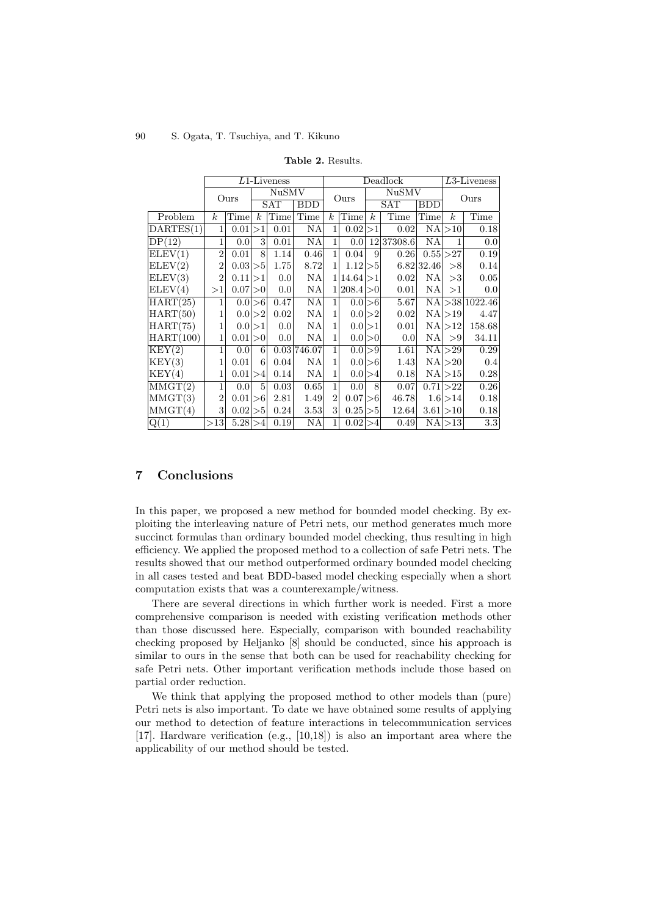|                    | $L1$ -Liveness   |            |                  |                          |             | Deadlock         |                  |                  |            | $L3$ -Liveness |                  |                           |
|--------------------|------------------|------------|------------------|--------------------------|-------------|------------------|------------------|------------------|------------|----------------|------------------|---------------------------|
|                    | Ours             |            | <b>NuSMV</b>     |                          | Ours        |                  | NuSMV            |                  | Ours       |                |                  |                           |
|                    |                  |            |                  | <b>SAT</b><br><b>BDD</b> |             |                  |                  | <b>SAT</b>       |            | <b>BDD</b>     |                  |                           |
| Problem            | $\boldsymbol{k}$ | Time       | $\boldsymbol{k}$ | Time                     | Time        | $\boldsymbol{k}$ | Time             | $\boldsymbol{k}$ | Time       | Time           | $\boldsymbol{k}$ | Time                      |
| $\text{DARTES}(1)$ | 1                | 0.01       | >1               | 0.01                     | NA          | 1                | 0.02             | >1               | 0.02       |                | NA >10           | 0.18                      |
| DP(12)             | 1                | 0.0        | 3                | 0.01                     | NA          | 1                | 0.0              |                  | 12 37308.6 | NA             | 1                | 0.0                       |
| ELEV(1)            | $\overline{2}$   | 0.01       | 8                | 1.14                     | 0.46        | $\mathbf{1}$     | 0.04             | 9                | 0.26       |                | 0.55 > 27        | 0.19                      |
| ELEV(2)            | $\overline{2}$   | $0.03$  >5 |                  | 1.75                     | 8.72        | 1                | 1.12             | >5               |            | 6.82 32.46     | >8               | 0.14                      |
| ELEV(3)            | $\overline{2}$   | 0.11       | >1               | 0.0                      | NA          |                  | 1 14.64 >1       |                  | 0.02       | ΝA             | >3               | 0.05                      |
| ELEV(4)            | >1               | 0.07 > 0   |                  | 0.0                      | NA          | 1                | $ 208.4 {>}0 $   |                  | 0.01       | NA             | >1               | 0.0 <sub>l</sub>          |
| HART (25)          | 1                |            | $0.0$  >6        | 0.47                     | NA          | 1                |                  | $0.0$  >6        | 5.67       |                |                  | $NA \geq 38 \mid 1022.46$ |
| HART (50)          | 1                |            | 0.0 >2           | 0.02                     | NA          | 1                |                  | 0.0 > 2          | 0.02       |                | NA >19           | 4.47                      |
| HART (75)          | 1                |            | $0.0$  >1        | 0.0                      | ΝA          | 1                | 0.0 <sub>l</sub> | >1               | 0.01       | NA             | >12              | 158.68                    |
| HART(100)          | 1                | 0.01       | >0               | 0.0                      | NA          | 1                |                  | $0.0$  >0        | 0.0        | NA             | > 9              | 34.11                     |
| KEY(2)             | 1                | 0.0        | 6                |                          | 0.03 746.07 | 1                |                  | $0.0$  >9        | 1.61       |                | NA >29           | 0.29                      |
| KEY(3)             | 1                | 0.01       | 6                | 0.04                     | NA          | 1                |                  | $0.0$  >6        | 1.43       |                | NA >20           | 0.4                       |
| KEY(4)             | 1                | 0.01       | >4               | 0.14                     | ΝA          | 1                |                  | $0.0$  >4        | 0.18       |                | $NA$ $>15$       | 0.28                      |
| MMGT(2)            | 1                | 0.0        | 5                | 0.03                     | 0.65        | 1                | 0.0              | 8                | 0.07       |                | 0.71 > 22        | 0.26                      |
| MMGT(3)            | $\overline{2}$   | 0.01       | >6               | 2.81                     | 1.49        | $\overline{2}$   | 0.07             | >6               | 46.78      |                | $1.6$  >14       | 0.18                      |
| MMGT(4)            | 3                | 0.02 >5    |                  | 0.24                     | 3.53        | 3                | 0.25             | >5               | 12.64      |                | 3.61 > 10        | 0.18                      |
| Q(1)               | >13              | 5.28 > 4   |                  | 0.19                     | NA          | 1                | 0.02             | >4               | 0.49       |                | $NA \geq 13$     | 3.3                       |

**Table 2.** Results.

## **7 Conclusions**

In this paper, we proposed a new method for bounded model checking. By exploiting the interleaving nature of Petri nets, our method generates much more succinct formulas than ordinary bounded model checking, thus resulting in high efficiency. We applied the proposed method to a collection of safe Petri nets. The results showed that our method outperformed ordinary bounded model checking in all cases tested and beat BDD-based model checking especially when a short computation exists that was a counterexample/witness.

There are several directions in which further work is needed. First a more comprehensive comparison is needed with existing verification methods other than those discussed here. Especially, comparison with bounded reachability checking proposed by Heljanko [8] should be conducted, since his approach is similar to ours in the sense that both can be used for reachability checking for safe Petri nets. Other important verification methods include those based on partial order reduction.

We think that applying the proposed method to other models than (pure) Petri nets is also important. To date we have obtained some results of applying our method to detection of feature interactions in telecommunication services [17]. Hardware verification (e.g., [10,18]) is also an important area where the applicability of our method should be tested.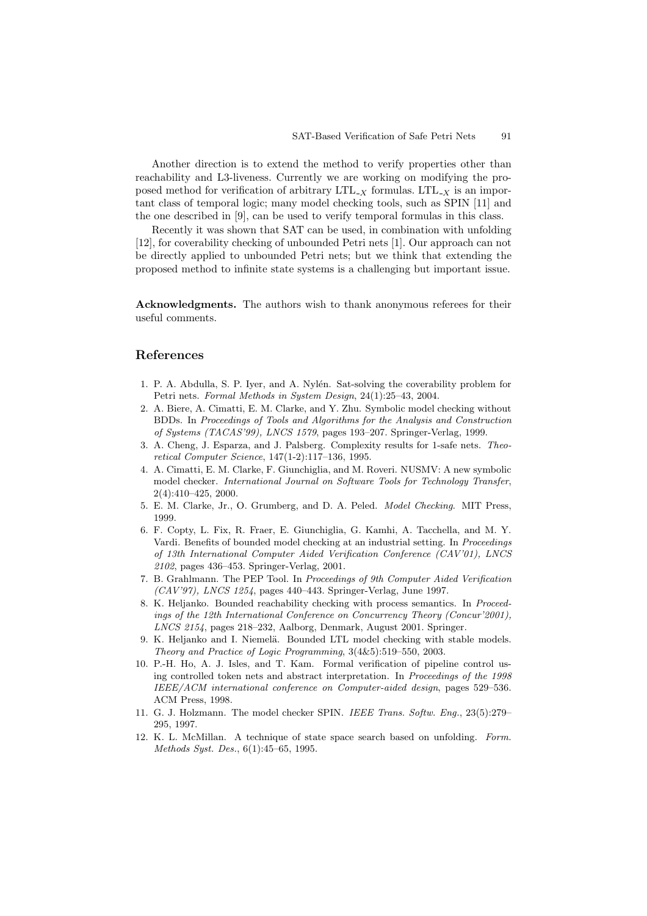Another direction is to extend the method to verify properties other than reachability and L3-liveness. Currently we are working on modifying the proposed method for verification of arbitrary  $LTL<sub>-X</sub>$  formulas.  $LTL<sub>-X</sub>$  is an important class of temporal logic; many model checking tools, such as SPIN [11] and the one described in [9], can be used to verify temporal formulas in this class.

Recently it was shown that SAT can be used, in combination with unfolding [12], for coverability checking of unbounded Petri nets [1]. Our approach can not be directly applied to unbounded Petri nets; but we think that extending the proposed method to infinite state systems is a challenging but important issue.

**Acknowledgments.** The authors wish to thank anonymous referees for their useful comments.

## **References**

- 1. P. A. Abdulla, S. P. Iyer, and A. Nylén. Sat-solving the coverability problem for Petri nets. Formal Methods in System Design, 24(1):25–43, 2004.
- 2. A. Biere, A. Cimatti, E. M. Clarke, and Y. Zhu. Symbolic model checking without BDDs. In Proceedings of Tools and Algorithms for the Analysis and Construction of Systems (TACAS'99), LNCS 1579, pages 193–207. Springer-Verlag, 1999.
- 3. A. Cheng, J. Esparza, and J. Palsberg. Complexity results for 1-safe nets. Theoretical Computer Science, 147(1-2):117–136, 1995.
- 4. A. Cimatti, E. M. Clarke, F. Giunchiglia, and M. Roveri. NUSMV: A new symbolic model checker. International Journal on Software Tools for Technology Transfer, 2(4):410–425, 2000.
- 5. E. M. Clarke, Jr., O. Grumberg, and D. A. Peled. Model Checking. MIT Press, 1999.
- 6. F. Copty, L. Fix, R. Fraer, E. Giunchiglia, G. Kamhi, A. Tacchella, and M. Y. Vardi. Benefits of bounded model checking at an industrial setting. In *Proceedings* of 13th International Computer Aided Verification Conference (CAV'01), LNCS 2102, pages 436–453. Springer-Verlag, 2001.
- 7. B. Grahlmann. The PEP Tool. In Proceedings of 9th Computer Aided Verification (CAV'97), LNCS 1254, pages 440–443. Springer-Verlag, June 1997.
- 8. K. Heljanko. Bounded reachability checking with process semantics. In Proceedings of the 12th International Conference on Concurrency Theory (Concur'2001), LNCS 2154, pages 218–232, Aalborg, Denmark, August 2001. Springer.
- 9. K. Heljanko and I. Niemelä. Bounded LTL model checking with stable models. Theory and Practice of Logic Programming, 3(4&5):519–550, 2003.
- 10. P.-H. Ho, A. J. Isles, and T. Kam. Formal verification of pipeline control using controlled token nets and abstract interpretation. In Proceedings of the 1998 IEEE/ACM international conference on Computer-aided design, pages 529–536. ACM Press, 1998.
- 11. G. J. Holzmann. The model checker SPIN. IEEE Trans. Softw. Eng., 23(5):279– 295, 1997.
- 12. K. L. McMillan. A technique of state space search based on unfolding. Form. Methods Syst. Des., 6(1):45–65, 1995.